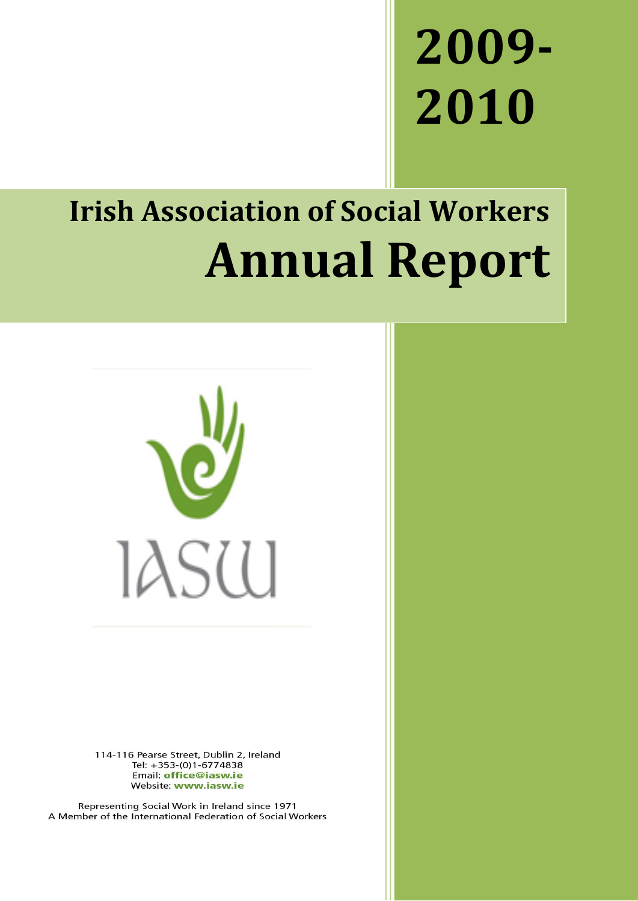# **2009- 2010**

## **Irish Association of Social Workers Annual Report**



114-116 Pearse Street, Dublin 2, Ireland Tel: +353-(0)1-6774838 Email: office@iasw.ie Website: www.iasw.ie

Representing Social Work in Ireland since 1971 A Member of the International Federation of Social Workers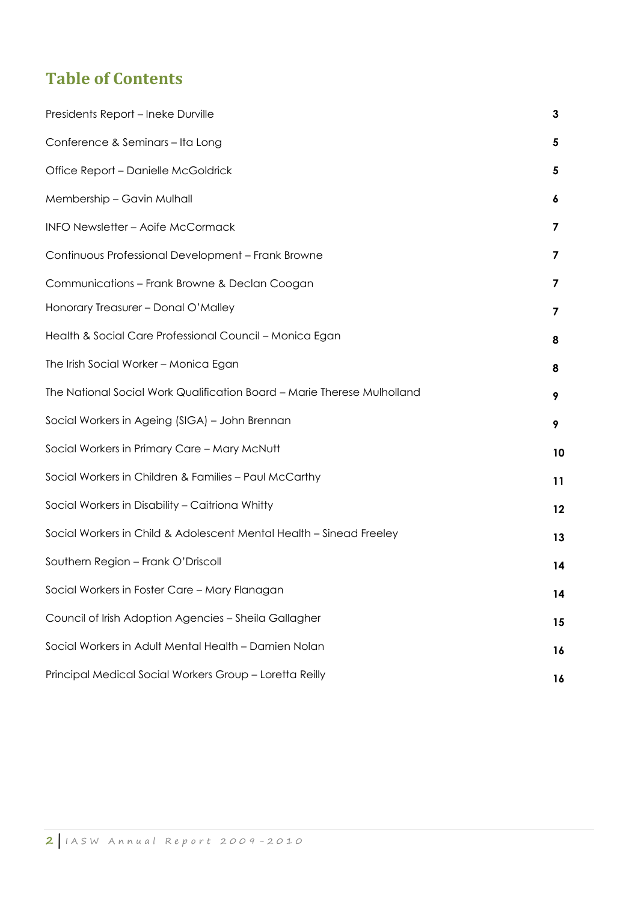### **Table of Contents**

| Presidents Report - Ineke Durville                                      | 3  |
|-------------------------------------------------------------------------|----|
| Conference & Seminars - Ita Long                                        | 5  |
| Office Report - Danielle McGoldrick                                     | 5  |
| Membership - Gavin Mulhall                                              | 6  |
| INFO Newsletter - Aoife McCormack                                       | 7  |
| Continuous Professional Development - Frank Browne                      | 7  |
| Communications - Frank Browne & Declan Coogan                           | 7  |
| Honorary Treasurer - Donal O'Malley                                     | 7  |
| Health & Social Care Professional Council - Monica Egan                 | 8  |
| The Irish Social Worker - Monica Egan                                   | 8  |
| The National Social Work Qualification Board - Marie Therese Mulholland | 9  |
| Social Workers in Ageing (SIGA) - John Brennan                          | 9  |
| Social Workers in Primary Care - Mary McNutt                            | 10 |
| Social Workers in Children & Families - Paul McCarthy                   | 11 |
| Social Workers in Disability - Caitriona Whitty                         | 12 |
| Social Workers in Child & Adolescent Mental Health - Sinead Freeley     | 13 |
| Southern Region - Frank O'Driscoll                                      | 14 |
| Social Workers in Foster Care - Mary Flanagan                           | 14 |
| Council of Irish Adoption Agencies - Sheila Gallagher                   | 15 |
| Social Workers in Adult Mental Health - Damien Nolan                    | 16 |
| Principal Medical Social Workers Group - Loretta Reilly                 | 16 |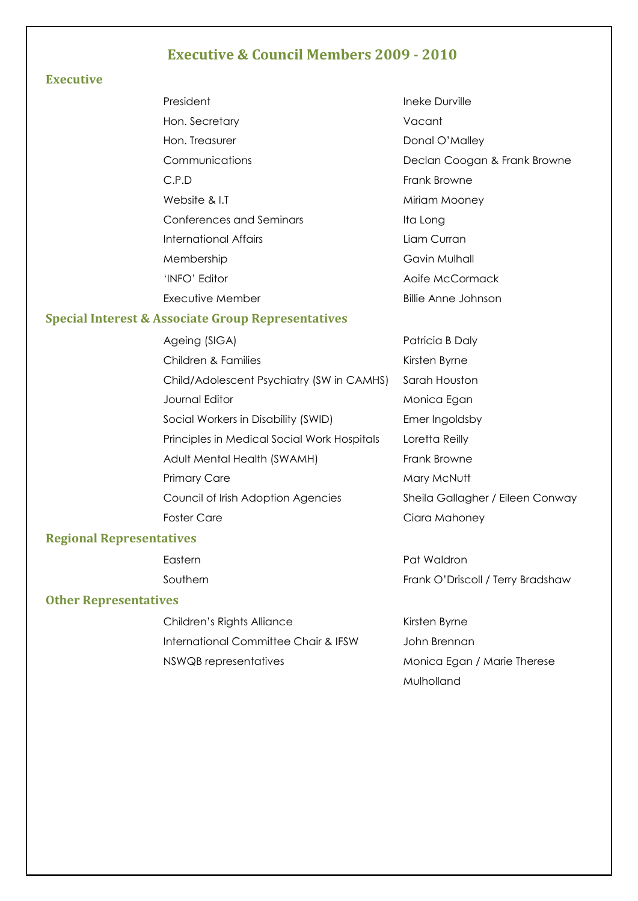#### **Executive & Council Members 2009 - 2010**

#### **Executive**

| President                                                                 | Ineke Durville                 |
|---------------------------------------------------------------------------|--------------------------------|
| Hon. Secretary                                                            | Vacant                         |
| Hon. Treasurer                                                            | Donal O'Malley                 |
| Communications                                                            | Declan Coogan & Frank Browne   |
| C.P.D                                                                     | Frank Browne                   |
| Website & LT                                                              | Miriam Mooney                  |
| Conferences and Seminars                                                  | Ita Long                       |
| International Affairs                                                     | Liam Curran                    |
| Membership                                                                | Gavin Mulhall                  |
| 'INFO' Editor                                                             | Aoife McCormack                |
| Executive Member                                                          | Billie Anne Johnson            |
| rest & Associate Group Representatives                                    |                                |
| $\Lambda$ and $\Lambda$ $\Lambda$ $\Lambda$ $\Lambda$ $\Lambda$ $\Lambda$ | منابها المنطقة المصرية المراجع |

#### **Special Inter**

Ageing (SIGA) and the patrician Patricia B Daly Children & Families **Kirsten Byrne** Child/Adolescent Psychiatry (SW in CAMHS) Sarah Houston Journal Editor **Monica Egan** Social Workers in Disability (SWID) Emer Ingoldsby Principles in Medical Social Work Hospitals Loretta Reilly Adult Mental Health (SWAMH) Frank Browne Primary Care Mary Mary McNutt Council of Irish Adoption Agencies Sheila Gallagher / Eileen Conway Foster Care **Care Ciara Mahoney** 

#### **Regional Representatives**

#### **Other Representatives**

Children's Rights Alliance Kirsten Byrne International Committee Chair & IFSW John Brennan NSWQB representatives Monica Egan / Marie Therese

Eastern **Pat Waldron** Southern Frank O'Driscoll / Terry Bradshaw

Mulholland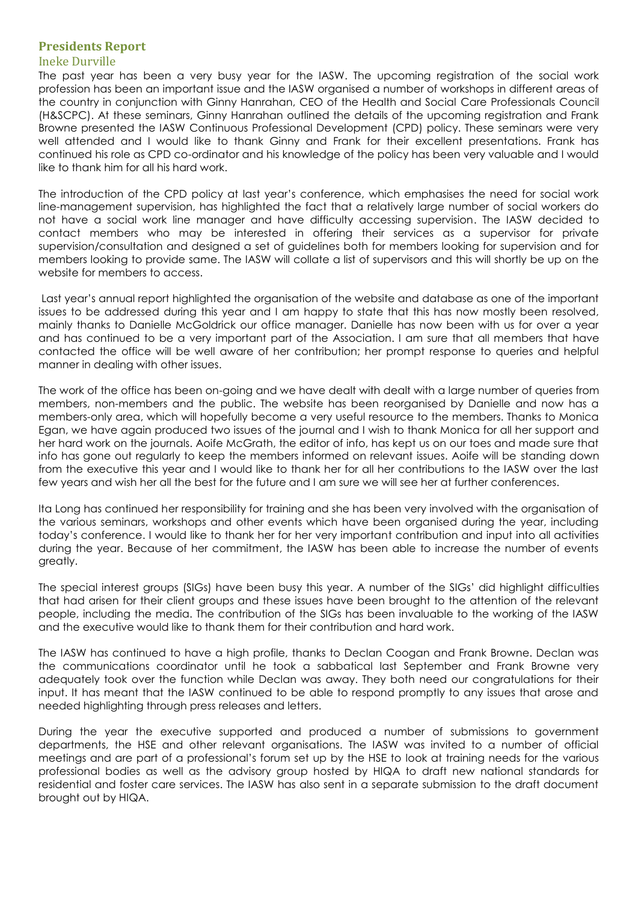#### **Presidents Report**

#### Ineke Durville

The past year has been a very busy year for the IASW. The upcoming registration of the social work profession has been an important issue and the IASW organised a number of workshops in different areas of the country in conjunction with Ginny Hanrahan, CEO of the Health and Social Care Professionals Council (H&SCPC). At these seminars, Ginny Hanrahan outlined the details of the upcoming registration and Frank Browne presented the IASW Continuous Professional Development (CPD) policy. These seminars were very well attended and I would like to thank Ginny and Frank for their excellent presentations. Frank has continued his role as CPD co-ordinator and his knowledge of the policy has been very valuable and I would like to thank him for all his hard work.

The introduction of the CPD policy at last year"s conference, which emphasises the need for social work line-management supervision, has highlighted the fact that a relatively large number of social workers do not have a social work line manager and have difficulty accessing supervision. The IASW decided to contact members who may be interested in offering their services as a supervisor for private supervision/consultation and designed a set of guidelines both for members looking for supervision and for members looking to provide same. The IASW will collate a list of supervisors and this will shortly be up on the website for members to access.

Last year"s annual report highlighted the organisation of the website and database as one of the important issues to be addressed during this year and I am happy to state that this has now mostly been resolved, mainly thanks to Danielle McGoldrick our office manager. Danielle has now been with us for over a year and has continued to be a very important part of the Association. I am sure that all members that have contacted the office will be well aware of her contribution; her prompt response to queries and helpful manner in dealing with other issues.

The work of the office has been on-going and we have dealt with dealt with a large number of queries from members, non-members and the public. The website has been reorganised by Danielle and now has a members-only area, which will hopefully become a very useful resource to the members. Thanks to Monica Egan, we have again produced two issues of the journal and I wish to thank Monica for all her support and her hard work on the journals. Aoife McGrath, the editor of info, has kept us on our toes and made sure that info has gone out regularly to keep the members informed on relevant issues. Aoife will be standing down from the executive this year and I would like to thank her for all her contributions to the IASW over the last few years and wish her all the best for the future and I am sure we will see her at further conferences.

Ita Long has continued her responsibility for training and she has been very involved with the organisation of the various seminars, workshops and other events which have been organised during the year, including today"s conference. I would like to thank her for her very important contribution and input into all activities during the year. Because of her commitment, the IASW has been able to increase the number of events greatly.

The special interest groups (SIGs) have been busy this year. A number of the SIGs" did highlight difficulties that had arisen for their client groups and these issues have been brought to the attention of the relevant people, including the media. The contribution of the SIGs has been invaluable to the working of the IASW and the executive would like to thank them for their contribution and hard work.

The IASW has continued to have a high profile, thanks to Declan Coogan and Frank Browne. Declan was the communications coordinator until he took a sabbatical last September and Frank Browne very adequately took over the function while Declan was away. They both need our congratulations for their input. It has meant that the IASW continued to be able to respond promptly to any issues that arose and needed highlighting through press releases and letters.

During the year the executive supported and produced a number of submissions to government departments, the HSE and other relevant organisations. The IASW was invited to a number of official meetings and are part of a professional"s forum set up by the HSE to look at training needs for the various professional bodies as well as the advisory group hosted by HIQA to draft new national standards for residential and foster care services. The IASW has also sent in a separate submission to the draft document brought out by HIQA.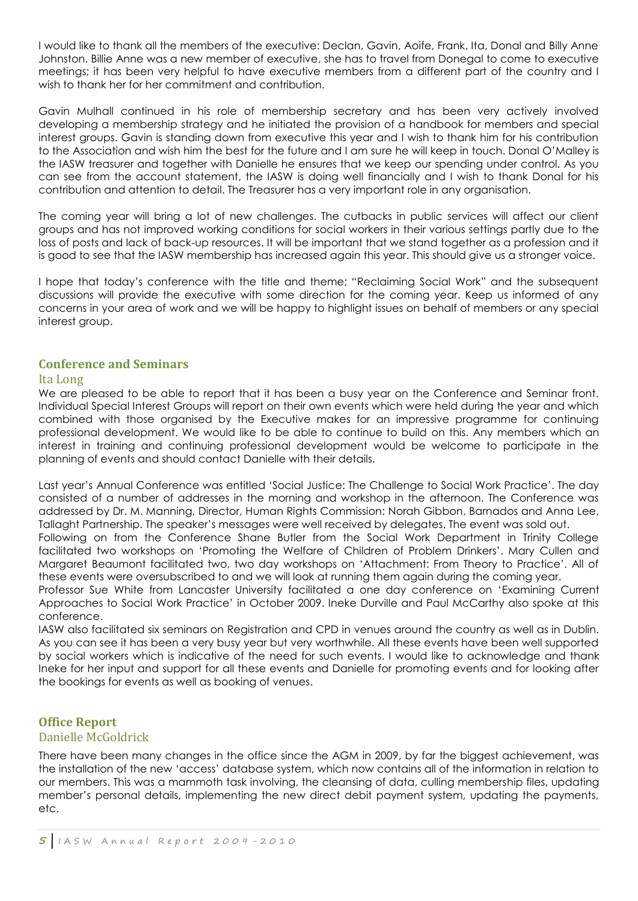I would like to thank all the members of the executive: Declan, Gavin, Aoife, Frank, Ita, Donal and Billy Anne Johnston. Billie Anne was a new member of executive, she has to travel from Donegal to come to executive meetings; it has been very helpful to have executive members from a different part of the country and I wish to thank her for her commitment and contribution.

Gavin Mulhall continued in his role of membership secretary and has been very actively involved developing a membership strategy and he initiated the provision of a handbook for members and special interest groups. Gavin is standing down from executive this year and I wish to thank him for his contribution to the Association and wish him the best for the future and I am sure he will keep in touch. Donal O"Malley is the IASW treasurer and together with Danielle he ensures that we keep our spending under control. As you can see from the account statement, the IASW is doing well financially and I wish to thank Donal for his contribution and attention to detail. The Treasurer has a very important role in any organisation.

The coming year will bring a lot of new challenges. The cutbacks in public services will affect our client groups and has not improved working conditions for social workers in their various settings partly due to the loss of posts and lack of back-up resources. It will be important that we stand together as a profession and it is good to see that the IASW membership has increased again this year. This should give us a stronger voice.

I hope that today"s conference with the title and theme; "Reclaiming Social Work" and the subsequent discussions will provide the executive with some direction for the coming year. Keep us informed of any concerns in your area of work and we will be happy to highlight issues on behalf of members or any special interest group.

#### **Conference and Seminars**

#### Ita Long

We are pleased to be able to report that it has been a busy year on the Conference and Seminar front. Individual Special Interest Groups will report on their own events which were held during the year and which combined with those organised by the Executive makes for an impressive programme for continuing professional development. We would like to be able to continue to build on this. Any members which an interest in training and continuing professional development would be welcome to participate in the planning of events and should contact Danielle with their details.

Last year"s Annual Conference was entitled "Social Justice: The Challenge to Social Work Practice". The day consisted of a number of addresses in the morning and workshop in the afternoon. The Conference was addressed by Dr. M. Manning, Director, Human Rights Commission: Norah Gibbon, Barnados and Anna Lee, Tallaght Partnership. The speaker"s messages were well received by delegates. The event was sold out.

Following on from the Conference Shane Butler from the Social Work Department in Trinity College facilitated two workshops on "Promoting the Welfare of Children of Problem Drinkers". Mary Cullen and Margaret Beaumont facilitated two, two day workshops on "Attachment: From Theory to Practice". All of these events were oversubscribed to and we will look at running them again during the coming year.

Professor Sue White from Lancaster University facilitated a one day conference on "Examining Current Approaches to Social Work Practice" in October 2009. Ineke Durville and Paul McCarthy also spoke at this conference.

IASW also facilitated six seminars on Registration and CPD in venues around the country as well as in Dublin. As you can see it has been a very busy year but very worthwhile. All these events have been well supported by social workers which is indicative of the need for such events. I would like to acknowledge and thank Ineke for her input and support for all these events and Danielle for promoting events and for looking after the bookings for events as well as booking of venues.

#### **Office Report** Danielle McGoldrick

There have been many changes in the office since the AGM in 2009, by far the biggest achievement, was the installation of the new "access" database system, which now contains all of the information in relation to our members. This was a mammoth task involving, the cleansing of data, culling membership files, updating member"s personal details, implementing the new direct debit payment system, updating the payments, etc.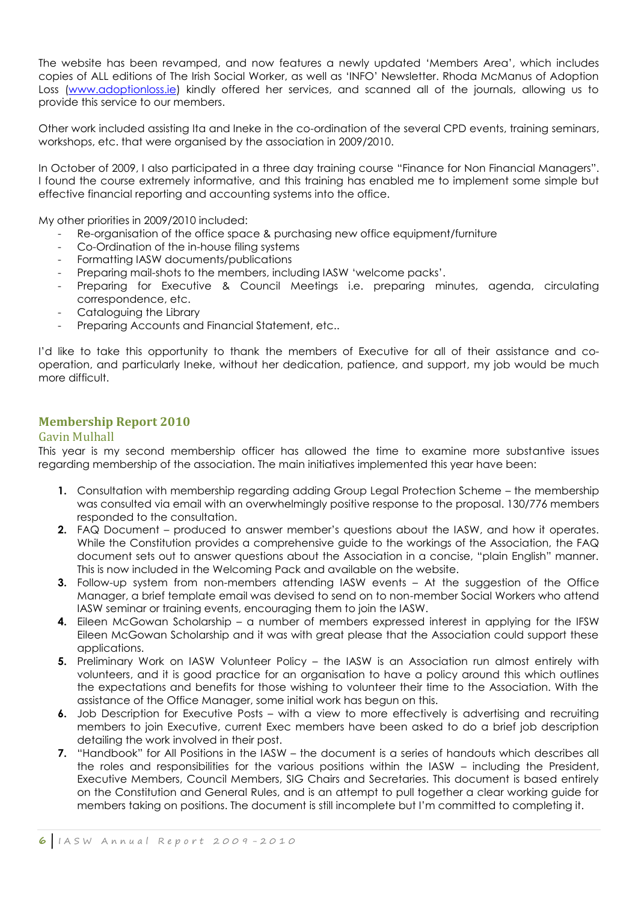The website has been revamped, and now features a newly updated "Members Area", which includes copies of ALL editions of The Irish Social Worker, as well as "INFO" Newsletter. Rhoda McManus of Adoption Loss [\(www.adoptionloss.ie\)](http://www.adoptionloss.ie/) kindly offered her services, and scanned all of the journals, allowing us to provide this service to our members.

Other work included assisting Ita and Ineke in the co-ordination of the several CPD events, training seminars, workshops, etc. that were organised by the association in 2009/2010.

In October of 2009, I also participated in a three day training course "Finance for Non Financial Managers". I found the course extremely informative, and this training has enabled me to implement some simple but effective financial reporting and accounting systems into the office.

My other priorities in 2009/2010 included:

- Re-organisation of the office space & purchasing new office equipment/furniture
- Co-Ordination of the in-house filing systems
- Formatting IASW documents/publications
- Preparing mail-shots to the members, including IASW 'welcome packs'.
- Preparing for Executive & Council Meetings i.e. preparing minutes, agenda, circulating correspondence, etc.
- Cataloguing the Library
- Preparing Accounts and Financial Statement, etc..

I"d like to take this opportunity to thank the members of Executive for all of their assistance and cooperation, and particularly Ineke, without her dedication, patience, and support, my job would be much more difficult.

#### **Membership Report 2010**

#### Gavin Mulhall

This year is my second membership officer has allowed the time to examine more substantive issues regarding membership of the association. The main initiatives implemented this year have been:

- **1.** Consultation with membership regarding adding Group Legal Protection Scheme the membership was consulted via email with an overwhelmingly positive response to the proposal. 130/776 members responded to the consultation.
- **2.** FAQ Document produced to answer member"s questions about the IASW, and how it operates. While the Constitution provides a comprehensive guide to the workings of the Association, the FAQ document sets out to answer questions about the Association in a concise, "plain English" manner. This is now included in the Welcoming Pack and available on the website.
- **3.** Follow-up system from non-members attending IASW events At the suggestion of the Office Manager, a brief template email was devised to send on to non-member Social Workers who attend IASW seminar or training events, encouraging them to join the IASW.
- **4.** Eileen McGowan Scholarship a number of members expressed interest in applying for the IFSW Eileen McGowan Scholarship and it was with great please that the Association could support these applications.
- **5.** Preliminary Work on IASW Volunteer Policy the IASW is an Association run almost entirely with volunteers, and it is good practice for an organisation to have a policy around this which outlines the expectations and benefits for those wishing to volunteer their time to the Association. With the assistance of the Office Manager, some initial work has begun on this.
- **6.** Job Description for Executive Posts with a view to more effectively is advertising and recruiting members to join Executive, current Exec members have been asked to do a brief job description detailing the work involved in their post.
- **7.** "Handbook" for All Positions in the IASW the document is a series of handouts which describes all the roles and responsibilities for the various positions within the IASW – including the President, Executive Members, Council Members, SIG Chairs and Secretaries. This document is based entirely on the Constitution and General Rules, and is an attempt to pull together a clear working guide for members taking on positions. The document is still incomplete but I"m committed to completing it.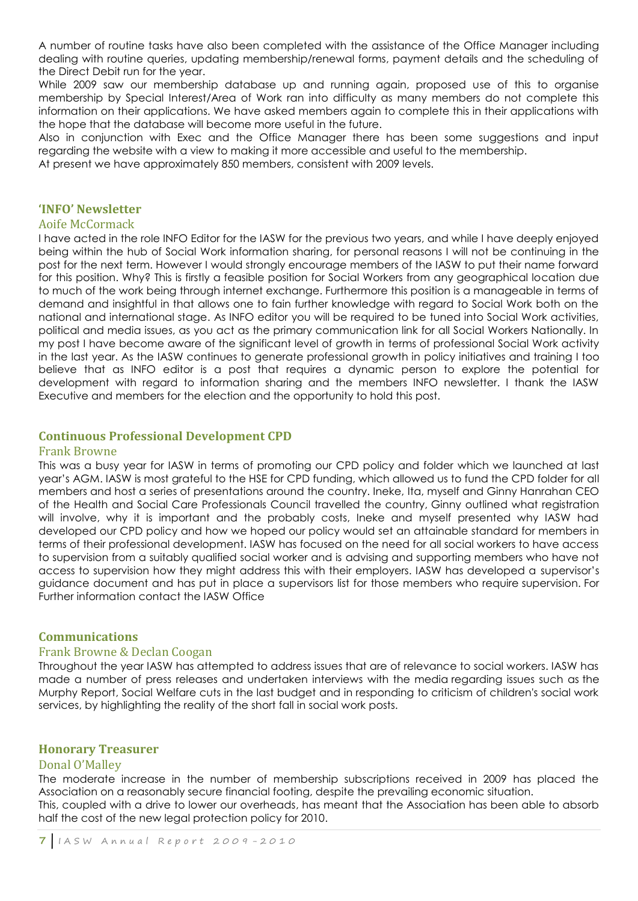A number of routine tasks have also been completed with the assistance of the Office Manager including dealing with routine queries, updating membership/renewal forms, payment details and the scheduling of the Direct Debit run for the year.

While 2009 saw our membership database up and running again, proposed use of this to organise membership by Special Interest/Area of Work ran into difficulty as many members do not complete this information on their applications. We have asked members again to complete this in their applications with the hope that the database will become more useful in the future.

Also in conjunction with Exec and the Office Manager there has been some suggestions and input regarding the website with a view to making it more accessible and useful to the membership.

At present we have approximately 850 members, consistent with 2009 levels.

#### **'INFO' Newsletter**

#### Aoife McCormack

I have acted in the role INFO Editor for the IASW for the previous two years, and while I have deeply enjoyed being within the hub of Social Work information sharing, for personal reasons I will not be continuing in the post for the next term. However I would strongly encourage members of the IASW to put their name forward for this position. Why? This is firstly a feasible position for Social Workers from any geographical location due to much of the work being through internet exchange. Furthermore this position is a manageable in terms of demand and insightful in that allows one to fain further knowledge with regard to Social Work both on the national and international stage. As INFO editor you will be required to be tuned into Social Work activities, political and media issues, as you act as the primary communication link for all Social Workers Nationally. In my post I have become aware of the significant level of growth in terms of professional Social Work activity in the last year. As the IASW continues to generate professional growth in policy initiatives and training I too believe that as INFO editor is a post that requires a dynamic person to explore the potential for development with regard to information sharing and the members INFO newsletter. I thank the IASW Executive and members for the election and the opportunity to hold this post.

#### **Continuous Professional Development CPD**

#### Frank Browne

This was a busy year for IASW in terms of promoting our CPD policy and folder which we launched at last year"s AGM. IASW is most grateful to the HSE for CPD funding, which allowed us to fund the CPD folder for all members and host a series of presentations around the country. Ineke, Ita, myself and Ginny Hanrahan CEO of the Health and Social Care Professionals Council travelled the country, Ginny outlined what registration will involve, why it is important and the probably costs, Ineke and myself presented why IASW had developed our CPD policy and how we hoped our policy would set an attainable standard for members in terms of their professional development. IASW has focused on the need for all social workers to have access to supervision from a suitably qualified social worker and is advising and supporting members who have not access to supervision how they might address this with their employers. IASW has developed a supervisor"s guidance document and has put in place a supervisors list for those members who require supervision. For Further information contact the IASW Office

#### **Communications**

#### Frank Browne & Declan Coogan

Throughout the year IASW has attempted to address issues that are of relevance to social workers. IASW has made a number of press releases and undertaken interviews with the media regarding issues such as the Murphy Report, Social Welfare cuts in the last budget and in responding to criticism of children's social work services, by highlighting the reality of the short fall in social work posts.

#### **Honorary Treasurer**

#### Donal O'Malley

The moderate increase in the number of membership subscriptions received in 2009 has placed the Association on a reasonably secure financial footing, despite the prevailing economic situation. This, coupled with a drive to lower our overheads, has meant that the Association has been able to absorb half the cost of the new legal protection policy for 2010.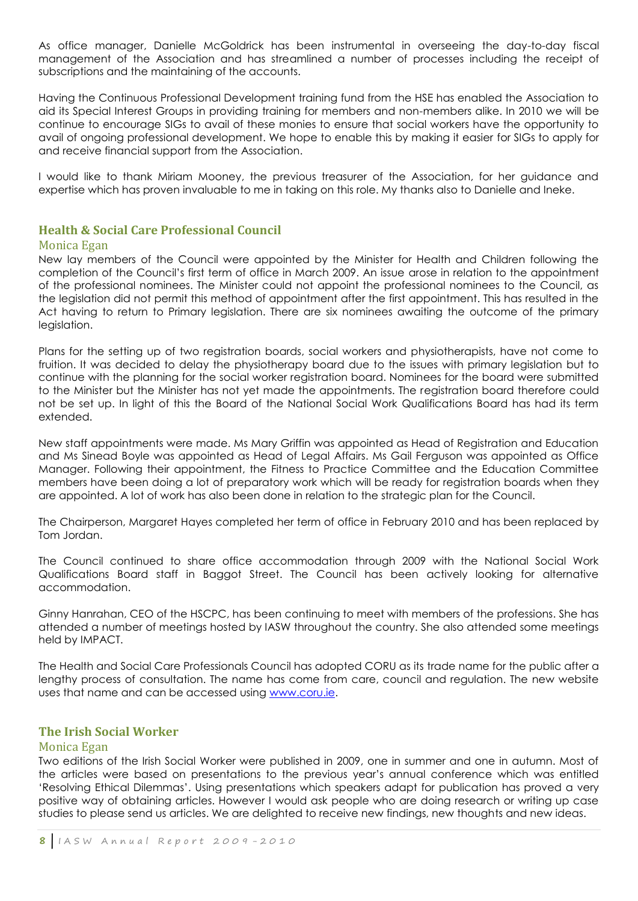As office manager, Danielle McGoldrick has been instrumental in overseeing the day-to-day fiscal management of the Association and has streamlined a number of processes including the receipt of subscriptions and the maintaining of the accounts.

Having the Continuous Professional Development training fund from the HSE has enabled the Association to aid its Special Interest Groups in providing training for members and non-members alike. In 2010 we will be continue to encourage SIGs to avail of these monies to ensure that social workers have the opportunity to avail of ongoing professional development. We hope to enable this by making it easier for SIGs to apply for and receive financial support from the Association.

I would like to thank Miriam Mooney, the previous treasurer of the Association, for her guidance and expertise which has proven invaluable to me in taking on this role. My thanks also to Danielle and Ineke.

#### **Health & Social Care Professional Council**

#### Monica Egan

New lay members of the Council were appointed by the Minister for Health and Children following the completion of the Council"s first term of office in March 2009. An issue arose in relation to the appointment of the professional nominees. The Minister could not appoint the professional nominees to the Council, as the legislation did not permit this method of appointment after the first appointment. This has resulted in the Act having to return to Primary legislation. There are six nominees awaiting the outcome of the primary legislation.

Plans for the setting up of two registration boards, social workers and physiotherapists, have not come to fruition. It was decided to delay the physiotherapy board due to the issues with primary legislation but to continue with the planning for the social worker registration board. Nominees for the board were submitted to the Minister but the Minister has not yet made the appointments. The registration board therefore could not be set up. In light of this the Board of the National Social Work Qualifications Board has had its term extended.

New staff appointments were made. Ms Mary Griffin was appointed as Head of Registration and Education and Ms Sinead Boyle was appointed as Head of Legal Affairs. Ms Gail Ferguson was appointed as Office Manager. Following their appointment, the Fitness to Practice Committee and the Education Committee members have been doing a lot of preparatory work which will be ready for registration boards when they are appointed. A lot of work has also been done in relation to the strategic plan for the Council.

The Chairperson, Margaret Hayes completed her term of office in February 2010 and has been replaced by Tom Jordan.

The Council continued to share office accommodation through 2009 with the National Social Work Qualifications Board staff in Baggot Street. The Council has been actively looking for alternative accommodation.

Ginny Hanrahan, CEO of the HSCPC, has been continuing to meet with members of the professions. She has attended a number of meetings hosted by IASW throughout the country. She also attended some meetings held by IMPACT.

The Health and Social Care Professionals Council has adopted CORU as its trade name for the public after a lengthy process of consultation. The name has come from care, council and regulation. The new website uses that name and can be accessed using [www.coru.ie.](http://www.coru.ie/)

#### **The Irish Social Worker**

#### Monica Egan

Two editions of the Irish Social Worker were published in 2009, one in summer and one in autumn. Most of the articles were based on presentations to the previous year"s annual conference which was entitled "Resolving Ethical Dilemmas". Using presentations which speakers adapt for publication has proved a very positive way of obtaining articles. However I would ask people who are doing research or writing up case studies to please send us articles. We are delighted to receive new findings, new thoughts and new ideas.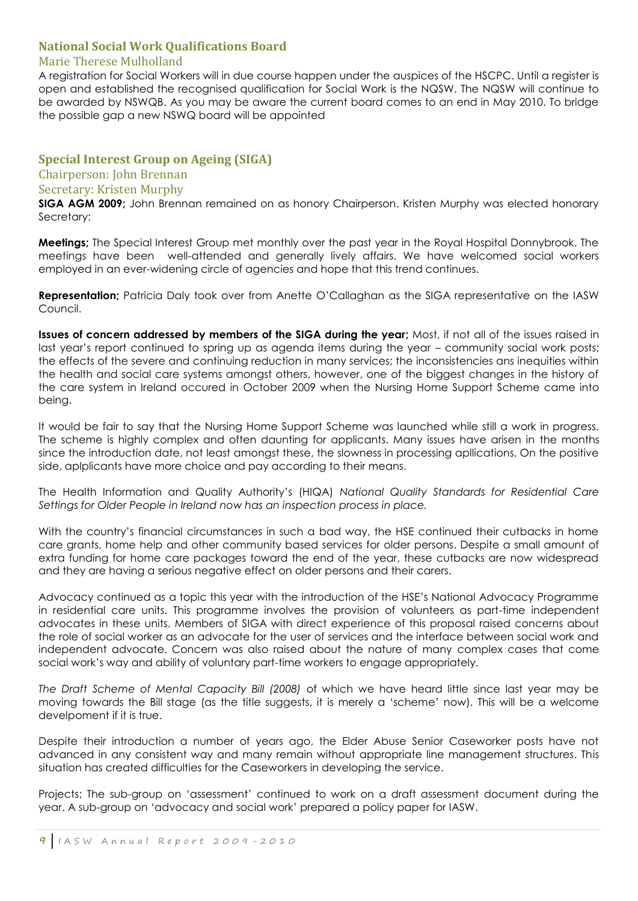#### **National Social Work Qualifications Board**

#### Marie Therese Mulholland

A registration for Social Workers will in due course happen under the auspices of the HSCPC. Until a register is open and established the recognised qualification for Social Work is the NQSW. The NQSW will continue to be awarded by NSWQB. As you may be aware the current board comes to an end in May 2010. To bridge the possible gap a new NSWQ board will be appointed

#### **Special Interest Group on Ageing (SIGA)**

#### Chairperson: John Brennan

#### Secretary: Kristen Murphy

**SIGA AGM 2009;** John Brennan remained on as honory Chairperson. Kristen Murphy was elected honorary Secretary:

**Meetings;** The Special Interest Group met monthly over the past year in the Royal Hospital Donnybrook. The meetings have been well-attended and generally lively affairs. We have welcomed social workers employed in an ever-widening circle of agencies and hope that this trend continues.

**Representation;** Patricia Daly took over from Anette O"Callaghan as the SIGA representative on the IASW Council.

**Issues of concern addressed by members of the SIGA during the year;** Most, if not all of the issues raised in last year"s report continued to spring up as agenda items during the year – community social work posts; the effects of the severe and continuing reduction in many services; the inconsistencies ans inequities within the health and social care systems amongst others, however, one of the biggest changes in the history of the care system in Ireland occured in October 2009 when the Nursing Home Support Scheme came into being.

It would be fair to say that the Nursing Home Support Scheme was launched while still a work in progress. The scheme is highly complex and often daunting for applicants. Many issues have arisen in the months since the introduction date, not least amongst these, the slowness in processing apllications. On the positive side, aplplicants have more choice and pay according to their means.

The Health Information and Quality Authority"s (HIQA) *National Quality Standards for Residential Care Settings for Older People in Ireland now has an inspection process in place.*

With the country's financial circumstances in such a bad way, the HSE continued their cutbacks in home care grants, home help and other community based services for older persons. Despite a small amount of extra funding for home care packages toward the end of the year, these cutbacks are now widespread and they are having a serious negative effect on older persons and their carers.

Advocacy continued as a topic this year with the introduction of the HSE"s National Advocacy Programme in residential care units. This programme involves the provision of volunteers as part-time independent advocates in these units. Members of SIGA with direct experience of this proposal raised concerns about the role of social worker as an advocate for the user of services and the interface between social work and independent advocate. Concern was also raised about the nature of many complex cases that come social work"s way and ability of voluntary part-time workers to engage appropriately.

*The Draft Scheme of Mental Capacity Bill (2008)* of which we have heard little since last year may be moving towards the Bill stage (as the title suggests, it is merely a "scheme" now). This will be a welcome develpoment if it is true.

Despite their introduction a number of years ago, the Elder Abuse Senior Caseworker posts have not advanced in any consistent way and many remain without appropriate line management structures. This situation has created difficulties for the Caseworkers in developing the service.

Projects; The sub-group on "assessment" continued to work on a draft assessment document during the year. A sub-group on "advocacy and social work" prepared a policy paper for IASW.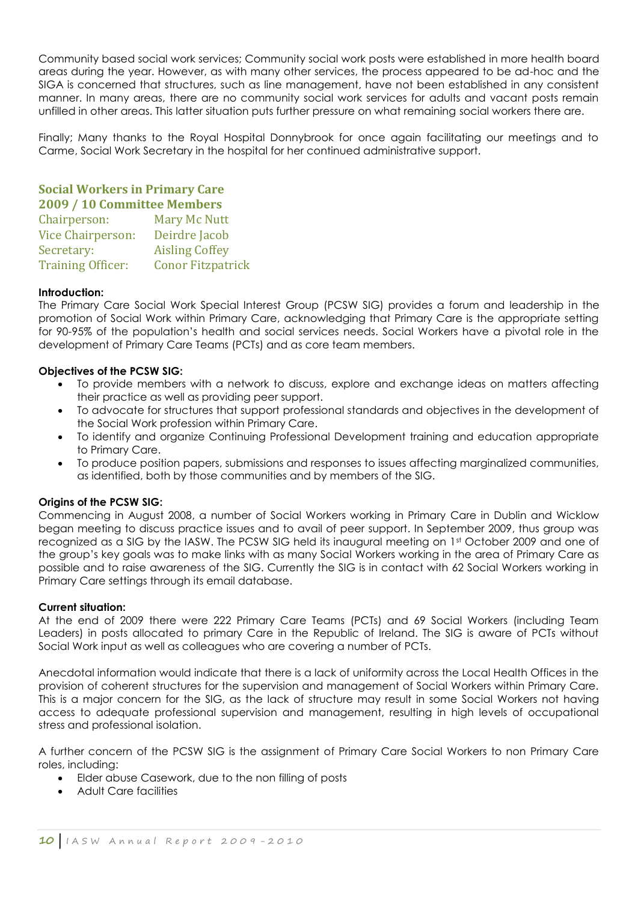Community based social work services; Community social work posts were established in more health board areas during the year. However, as with many other services, the process appeared to be ad-hoc and the SIGA is concerned that structures, such as line management, have not been established in any consistent manner. In many areas, there are no community social work services for adults and vacant posts remain unfilled in other areas. This latter situation puts further pressure on what remaining social workers there are.

Finally; Many thanks to the Royal Hospital Donnybrook for once again facilitating our meetings and to Carme, Social Work Secretary in the hospital for her continued administrative support.

#### **Social Workers in Primary Care 2009 / 10 Committee Members** Mary Mc Nutt

| Gildii person.           | Mary Mc Nutt             |
|--------------------------|--------------------------|
| Vice Chairperson:        | Deirdre Jacob            |
| Secretary:               | <b>Aisling Coffey</b>    |
| <b>Training Officer:</b> | <b>Conor Fitzpatrick</b> |

#### **Introduction:**

The Primary Care Social Work Special Interest Group (PCSW SIG) provides a forum and leadership in the promotion of Social Work within Primary Care, acknowledging that Primary Care is the appropriate setting for 90-95% of the population"s health and social services needs. Social Workers have a pivotal role in the development of Primary Care Teams (PCTs) and as core team members.

#### **Objectives of the PCSW SIG:**

- To provide members with a network to discuss, explore and exchange ideas on matters affecting their practice as well as providing peer support.
- To advocate for structures that support professional standards and objectives in the development of the Social Work profession within Primary Care.
- To identify and organize Continuing Professional Development training and education appropriate to Primary Care.
- To produce position papers, submissions and responses to issues affecting marginalized communities, as identified, both by those communities and by members of the SIG.

#### **Origins of the PCSW SIG:**

Commencing in August 2008, a number of Social Workers working in Primary Care in Dublin and Wicklow began meeting to discuss practice issues and to avail of peer support. In September 2009, thus group was recognized as a SIG by the IASW. The PCSW SIG held its inaugural meeting on 1st October 2009 and one of the group"s key goals was to make links with as many Social Workers working in the area of Primary Care as possible and to raise awareness of the SIG. Currently the SIG is in contact with 62 Social Workers working in Primary Care settings through its email database.

#### **Current situation:**

At the end of 2009 there were 222 Primary Care Teams (PCTs) and 69 Social Workers (including Team Leaders) in posts allocated to primary Care in the Republic of Ireland. The SIG is aware of PCTs without Social Work input as well as colleagues who are covering a number of PCTs.

Anecdotal information would indicate that there is a lack of uniformity across the Local Health Offices in the provision of coherent structures for the supervision and management of Social Workers within Primary Care. This is a major concern for the SIG, as the lack of structure may result in some Social Workers not having access to adequate professional supervision and management, resulting in high levels of occupational stress and professional isolation.

A further concern of the PCSW SIG is the assignment of Primary Care Social Workers to non Primary Care roles, including:

- Elder abuse Casework, due to the non filling of posts
- Adult Care facilities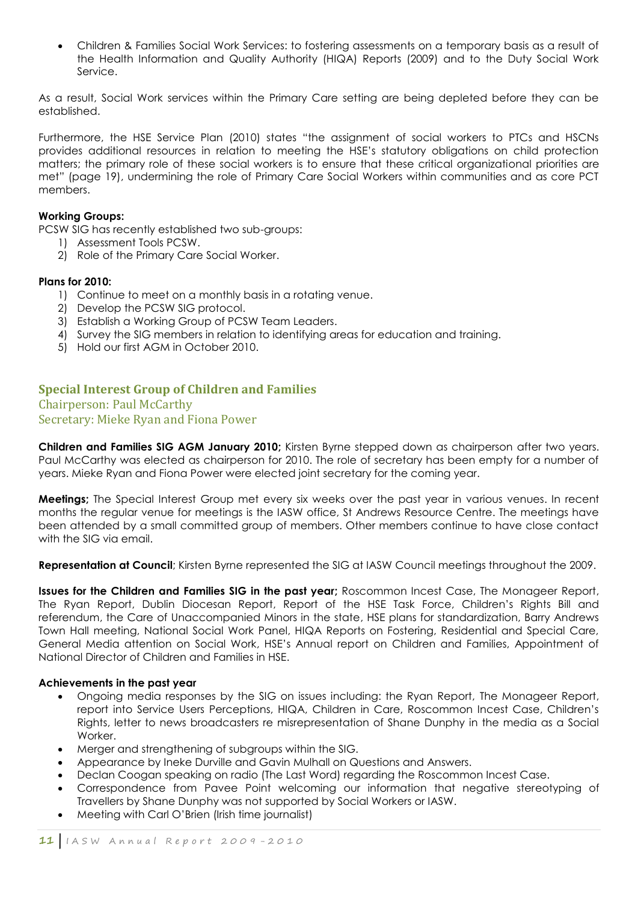Children & Families Social Work Services: to fostering assessments on a temporary basis as a result of the Health Information and Quality Authority (HIQA) Reports (2009) and to the Duty Social Work Service.

As a result, Social Work services within the Primary Care setting are being depleted before they can be established.

Furthermore, the HSE Service Plan (2010) states "the assignment of social workers to PTCs and HSCNs provides additional resources in relation to meeting the HSE"s statutory obligations on child protection matters; the primary role of these social workers is to ensure that these critical organizational priorities are met" (page 19), undermining the role of Primary Care Social Workers within communities and as core PCT members.

#### **Working Groups:**

PCSW SIG has recently established two sub-groups:

- 1) Assessment Tools PCSW.
- 2) Role of the Primary Care Social Worker.

#### **Plans for 2010:**

- 1) Continue to meet on a monthly basis in a rotating venue.
- 2) Develop the PCSW SIG protocol.
- 3) Establish a Working Group of PCSW Team Leaders.
- 4) Survey the SIG members in relation to identifying areas for education and training.
- 5) Hold our first AGM in October 2010.

#### **Special Interest Group of Children and Families**

Chairperson: Paul McCarthy Secretary: Mieke Ryan and Fiona Power

**Children and Families SIG AGM January 2010;** Kirsten Byrne stepped down as chairperson after two years. Paul McCarthy was elected as chairperson for 2010. The role of secretary has been empty for a number of years. Mieke Ryan and Fiona Power were elected joint secretary for the coming year.

**Meetings;** The Special Interest Group met every six weeks over the past year in various venues. In recent months the regular venue for meetings is the IASW office, St Andrews Resource Centre. The meetings have been attended by a small committed group of members. Other members continue to have close contact with the SIG via email.

**Representation at Council**; Kirsten Byrne represented the SIG at IASW Council meetings throughout the 2009.

**Issues for the Children and Families SIG in the past year;** Roscommon Incest Case, The Monageer Report, The Ryan Report, Dublin Diocesan Report, Report of the HSE Task Force, Children"s Rights Bill and referendum, the Care of Unaccompanied Minors in the state, HSE plans for standardization, Barry Andrews Town Hall meeting, National Social Work Panel, HIQA Reports on Fostering, Residential and Special Care, General Media attention on Social Work, HSE"s Annual report on Children and Families, Appointment of National Director of Children and Families in HSE.

#### **Achievements in the past year**

- Ongoing media responses by the SIG on issues including: the Ryan Report, The Monageer Report, report into Service Users Perceptions, HIQA, Children in Care, Roscommon Incest Case, Children"s Rights, letter to news broadcasters re misrepresentation of Shane Dunphy in the media as a Social Worker
- Merger and strengthening of subgroups within the SIG.
- Appearance by Ineke Durville and Gavin Mulhall on Questions and Answers.
- Declan Coogan speaking on radio (The Last Word) regarding the Roscommon Incest Case.
- Correspondence from Pavee Point welcoming our information that negative stereotyping of Travellers by Shane Dunphy was not supported by Social Workers or IASW.
- Meeting with Carl O"Brien (Irish time journalist)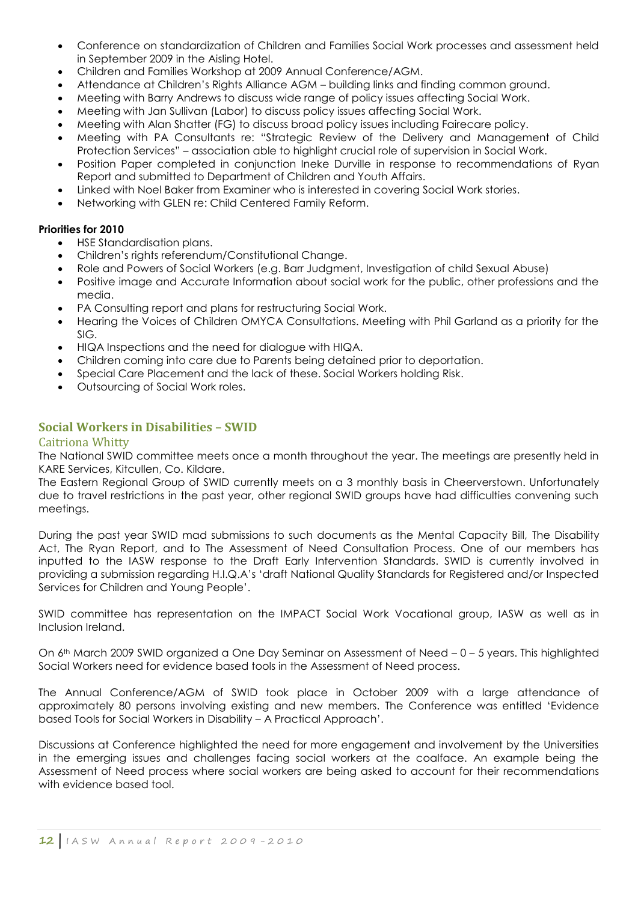- Conference on standardization of Children and Families Social Work processes and assessment held in September 2009 in the Aisling Hotel.
- Children and Families Workshop at 2009 Annual Conference/AGM.
- Attendance at Children"s Rights Alliance AGM building links and finding common ground.
- Meeting with Barry Andrews to discuss wide range of policy issues affecting Social Work.
- Meeting with Jan Sullivan (Labor) to discuss policy issues affecting Social Work.
- Meeting with Alan Shatter (FG) to discuss broad policy issues including Fairecare policy.
- Meeting with PA Consultants re: "Strategic Review of the Delivery and Management of Child Protection Services" – association able to highlight crucial role of supervision in Social Work.
- Position Paper completed in conjunction Ineke Durville in response to recommendations of Ryan Report and submitted to Department of Children and Youth Affairs.
- Linked with Noel Baker from Examiner who is interested in covering Social Work stories.
- Networking with GLEN re: Child Centered Family Reform.

#### **Priorities for 2010**

- HSE Standardisation plans.
- Children"s rights referendum/Constitutional Change.
- Role and Powers of Social Workers (e.g. Barr Judgment, Investigation of child Sexual Abuse)
- Positive image and Accurate Information about social work for the public, other professions and the media.
- PA Consulting report and plans for restructuring Social Work.
- Hearing the Voices of Children OMYCA Consultations. Meeting with Phil Garland as a priority for the SIG.
- HIQA Inspections and the need for dialogue with HIQA.
- Children coming into care due to Parents being detained prior to deportation.
- Special Care Placement and the lack of these. Social Workers holding Risk.
- Outsourcing of Social Work roles.

#### **Social Workers in Disabilities – SWID**

#### Caitriona Whitty

The National SWID committee meets once a month throughout the year. The meetings are presently held in KARE Services, Kitcullen, Co. Kildare.

The Eastern Regional Group of SWID currently meets on a 3 monthly basis in Cheerverstown. Unfortunately due to travel restrictions in the past year, other regional SWID groups have had difficulties convening such meetings.

During the past year SWID mad submissions to such documents as the Mental Capacity Bill, The Disability Act, The Ryan Report, and to The Assessment of Need Consultation Process. One of our members has inputted to the IASW response to the Draft Early Intervention Standards. SWID is currently involved in providing a submission regarding H.I.Q.A"s "draft National Quality Standards for Registered and/or Inspected Services for Children and Young People".

SWID committee has representation on the IMPACT Social Work Vocational group, IASW as well as in Inclusion Ireland.

On 6<sup>th</sup> March 2009 SWID organized a One Day Seminar on Assessment of Need - 0 - 5 years. This highlighted Social Workers need for evidence based tools in the Assessment of Need process.

The Annual Conference/AGM of SWID took place in October 2009 with a large attendance of approximately 80 persons involving existing and new members. The Conference was entitled "Evidence based Tools for Social Workers in Disability – A Practical Approach".

Discussions at Conference highlighted the need for more engagement and involvement by the Universities in the emerging issues and challenges facing social workers at the coalface. An example being the Assessment of Need process where social workers are being asked to account for their recommendations with evidence based tool.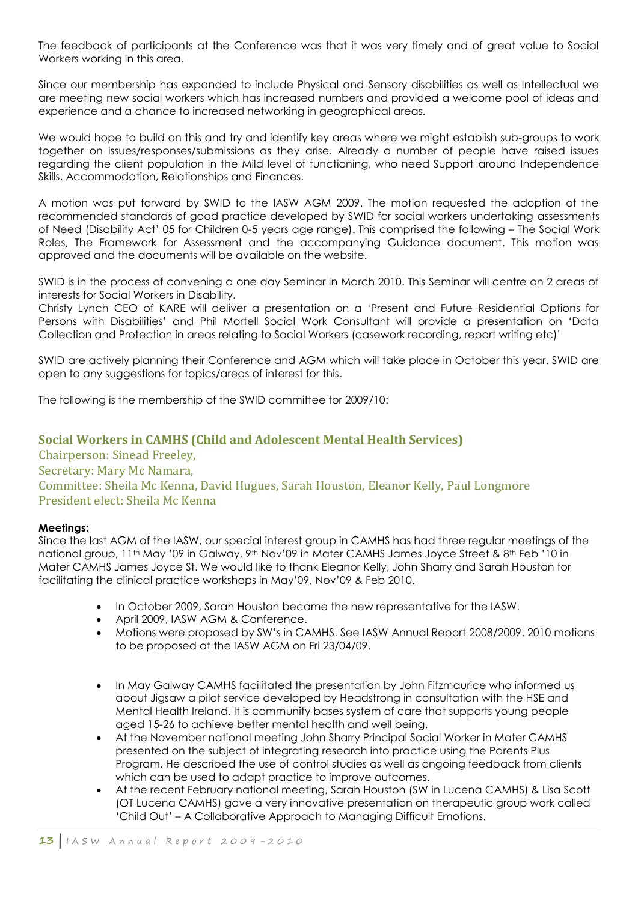The feedback of participants at the Conference was that it was very timely and of great value to Social Workers working in this area.

Since our membership has expanded to include Physical and Sensory disabilities as well as Intellectual we are meeting new social workers which has increased numbers and provided a welcome pool of ideas and experience and a chance to increased networking in geographical areas.

We would hope to build on this and try and identify key areas where we might establish sub-groups to work together on issues/responses/submissions as they arise. Already a number of people have raised issues regarding the client population in the Mild level of functioning, who need Support around Independence Skills, Accommodation, Relationships and Finances.

A motion was put forward by SWID to the IASW AGM 2009. The motion requested the adoption of the recommended standards of good practice developed by SWID for social workers undertaking assessments of Need (Disability Act" 05 for Children 0-5 years age range). This comprised the following – The Social Work Roles, The Framework for Assessment and the accompanying Guidance document. This motion was approved and the documents will be available on the website.

SWID is in the process of convening a one day Seminar in March 2010. This Seminar will centre on 2 areas of interests for Social Workers in Disability.

Christy Lynch CEO of KARE will deliver a presentation on a "Present and Future Residential Options for Persons with Disabilities" and Phil Mortell Social Work Consultant will provide a presentation on "Data Collection and Protection in areas relating to Social Workers (casework recording, report writing etc)"

SWID are actively planning their Conference and AGM which will take place in October this year. SWID are open to any suggestions for topics/areas of interest for this.

The following is the membership of the SWID committee for 2009/10:

#### **Social Workers in CAMHS (Child and Adolescent Mental Health Services)**

Chairperson: Sinead Freeley, Secretary: Mary Mc Namara, Committee: Sheila Mc Kenna, David Hugues, Sarah Houston, Eleanor Kelly, Paul Longmore President elect: Sheila Mc Kenna

#### **Meetings:**

Since the last AGM of the IASW, our special interest group in CAMHS has had three regular meetings of the national group, 11<sup>th</sup> May '09 in Galway, 9<sup>th</sup> Nov'09 in Mater CAMHS James Joyce Street & 8<sup>th</sup> Feb '10 in Mater CAMHS James Joyce St. We would like to thank Eleanor Kelly, John Sharry and Sarah Houston for facilitating the clinical practice workshops in May"09, Nov"09 & Feb 2010.

- In October 2009, Sarah Houston became the new representative for the IASW.
- April 2009, IASW AGM & Conference.
- Motions were proposed by SW"s in CAMHS. See IASW Annual Report 2008/2009. 2010 motions to be proposed at the IASW AGM on Fri 23/04/09.
- In May Galway CAMHS facilitated the presentation by John Fitzmaurice who informed us about Jigsaw a pilot service developed by Headstrong in consultation with the HSE and Mental Health Ireland. It is community bases system of care that supports young people aged 15-26 to achieve better mental health and well being.
- At the November national meeting John Sharry Principal Social Worker in Mater CAMHS presented on the subject of integrating research into practice using the Parents Plus Program. He described the use of control studies as well as ongoing feedback from clients which can be used to adapt practice to improve outcomes.
- At the recent February national meeting, Sarah Houston (SW in Lucena CAMHS) & Lisa Scott (OT Lucena CAMHS) gave a very innovative presentation on therapeutic group work called "Child Out" – A Collaborative Approach to Managing Difficult Emotions.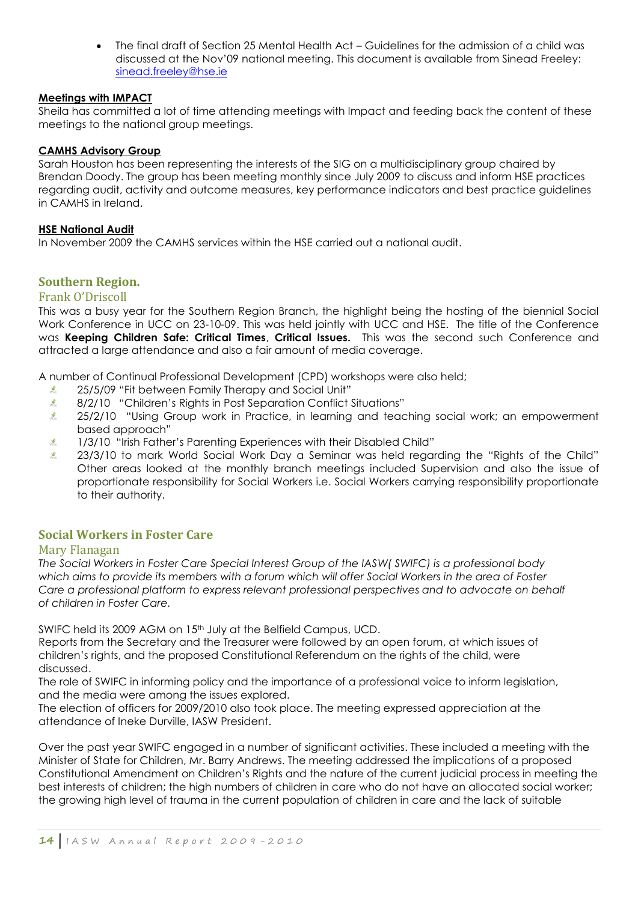The final draft of Section 25 Mental Health Act – Guidelines for the admission of a child was discussed at the Nov"09 national meeting. This document is available from Sinead Freeley: [sinead.freeley@hse.ie](mailto:sinead.freeley@hse.ie)

#### **Meetings with IMPACT**

Sheila has committed a lot of time attending meetings with Impact and feeding back the content of these meetings to the national group meetings.

#### **CAMHS Advisory Group**

Sarah Houston has been representing the interests of the SIG on a multidisciplinary group chaired by Brendan Doody. The group has been meeting monthly since July 2009 to discuss and inform HSE practices regarding audit, activity and outcome measures, key performance indicators and best practice guidelines in CAMHS in Ireland.

#### **HSE National Audit**

In November 2009 the CAMHS services within the HSE carried out a national audit.

#### **Southern Region.**

#### Frank O'Driscoll

This was a busy year for the Southern Region Branch, the highlight being the hosting of the biennial Social Work Conference in UCC on 23-10-09. This was held jointly with UCC and HSE. The title of the Conference was **Keeping Children Safe: Critical Times**, **Critical Issues.** This was the second such Conference and attracted a large attendance and also a fair amount of media coverage.

A number of Continual Professional Development (CPD) workshops were also held;

- **NSCU** 25/5/09 "Fit between Family Therapy and Social Unit"
- $\frac{1}{2}$ 8/2/10 "Children"s Rights in Post Separation Conflict Situations"
- $\frac{1}{\sqrt{2}}$ 25/2/10 "Using Group work in Practice, in learning and teaching social work; an empowerment based approach"
- $\vec{v}$ 1/3/10 "Irish Father"s Parenting Experiences with their Disabled Child"
- $\sum_{k\in\mathcal{K}(k)}$ 23/3/10 to mark World Social Work Day a Seminar was held regarding the "Rights of the Child" Other areas looked at the monthly branch meetings included Supervision and also the issue of proportionate responsibility for Social Workers i.e. Social Workers carrying responsibility proportionate to their authority.

#### **Social Workers in Foster Care**

#### Mary Flanagan

*The Social Workers in Foster Care Special Interest Group of the IASW( SWIFC) is a professional body which aims to provide its members with a forum which will offer Social Workers in the area of Foster Care a professional platform to express relevant professional perspectives and to advocate on behalf of children in Foster Care.* 

SWIFC held its 2009 AGM on 15<sup>th</sup> July at the Belfield Campus, UCD.

Reports from the Secretary and the Treasurer were followed by an open forum, at which issues of children"s rights, and the proposed Constitutional Referendum on the rights of the child, were discussed.

The role of SWIFC in informing policy and the importance of a professional voice to inform legislation, and the media were among the issues explored.

The election of officers for 2009/2010 also took place. The meeting expressed appreciation at the attendance of Ineke Durville, IASW President.

Over the past year SWIFC engaged in a number of significant activities. These included a meeting with the Minister of State for Children, Mr. Barry Andrews. The meeting addressed the implications of a proposed Constitutional Amendment on Children"s Rights and the nature of the current judicial process in meeting the best interests of children; the high numbers of children in care who do not have an allocated social worker; the growing high level of trauma in the current population of children in care and the lack of suitable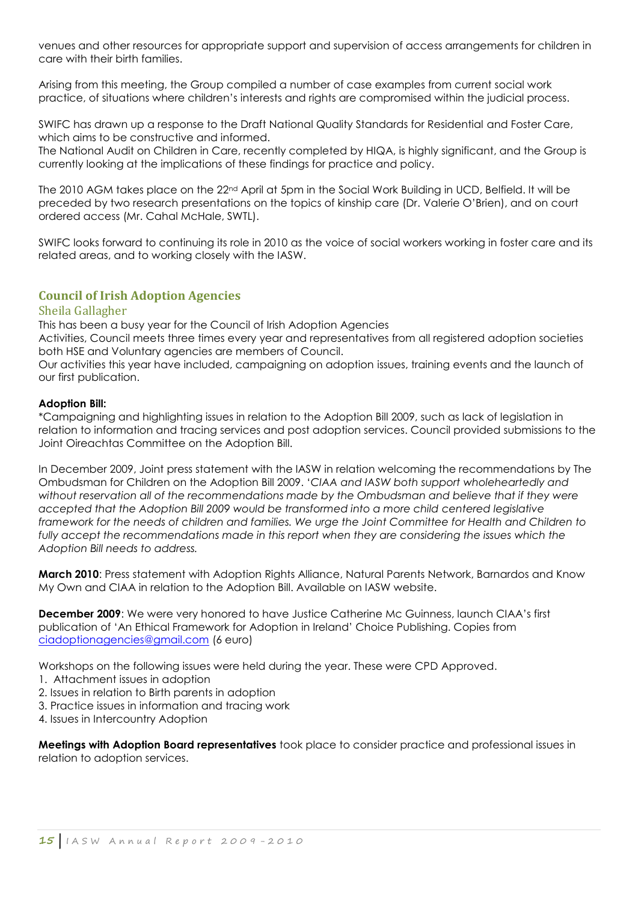venues and other resources for appropriate support and supervision of access arrangements for children in care with their birth families.

Arising from this meeting, the Group compiled a number of case examples from current social work practice, of situations where children"s interests and rights are compromised within the judicial process.

SWIFC has drawn up a response to the Draft National Quality Standards for Residential and Foster Care, which aims to be constructive and informed.

The National Audit on Children in Care, recently completed by HIQA, is highly significant, and the Group is currently looking at the implications of these findings for practice and policy.

The 2010 AGM takes place on the 22<sup>nd</sup> April at 5pm in the Social Work Building in UCD, Belfield. It will be preceded by two research presentations on the topics of kinship care (Dr. Valerie O"Brien), and on court ordered access (Mr. Cahal McHale, SWTL).

SWIFC looks forward to continuing its role in 2010 as the voice of social workers working in foster care and its related areas, and to working closely with the IASW.

#### **Council of Irish Adoption Agencies**

#### Sheila Gallagher

This has been a busy year for the Council of Irish Adoption Agencies

Activities, Council meets three times every year and representatives from all registered adoption societies both HSE and Voluntary agencies are members of Council.

Our activities this year have included, campaigning on adoption issues, training events and the launch of our first publication.

#### **Adoption Bill:**

\*Campaigning and highlighting issues in relation to the Adoption Bill 2009, such as lack of legislation in relation to information and tracing services and post adoption services. Council provided submissions to the Joint Oireachtas Committee on the Adoption Bill.

In December 2009, Joint press statement with the IASW in relation welcoming the recommendations by The Ombudsman for Children on the Adoption Bill 2009. "*CIAA and IASW both support wholeheartedly and*  without reservation all of the recommendations made by the Ombudsman and believe that if they were *accepted that the Adoption Bill 2009 would be transformed into a more child centered legislative framework for the needs of children and families. We urge the Joint Committee for Health and Children to*  fully accept the recommendations made in this report when they are considering the issues which the *Adoption Bill needs to address.*

**March 2010**: Press statement with Adoption Rights Alliance, Natural Parents Network, Barnardos and Know My Own and CIAA in relation to the Adoption Bill. Available on IASW website.

**December 2009**: We were very honored to have Justice Catherine Mc Guinness, launch CIAA"s first publication of "An Ethical Framework for Adoption in Ireland" Choice Publishing. Copies from [ciadoptionagencies@gmail.com](mailto:ciadoptionagencies@gmail.com) (6 euro)

Workshops on the following issues were held during the year. These were CPD Approved.

- 1. Attachment issues in adoption
- 2. Issues in relation to Birth parents in adoption
- 3. Practice issues in information and tracing work
- 4. Issues in Intercountry Adoption

**Meetings with Adoption Board representatives** took place to consider practice and professional issues in relation to adoption services.